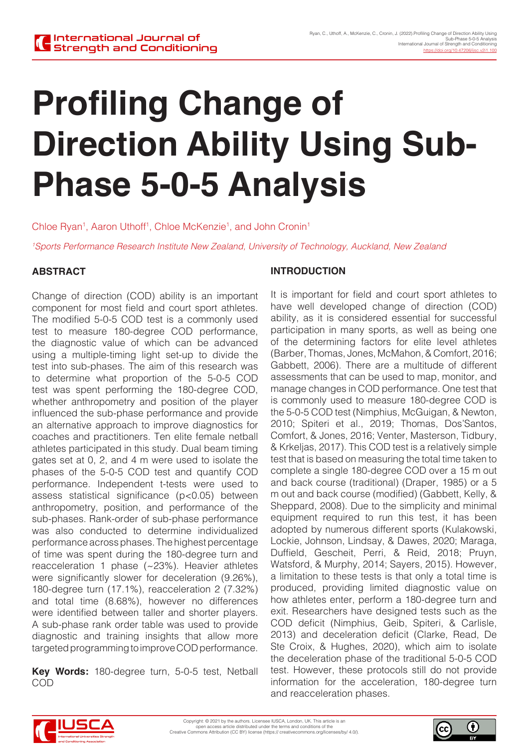# **Profiling Change of Direction Ability Using Sub-Phase 5-0-5 Analysis**

Chloe Ryan<sup>1</sup>, Aaron Uthoff<sup>1</sup>, Chloe McKenzie<sup>1</sup>, and John Cronin<sup>1</sup>

*1 Sports Performance Research Institute New Zealand, University of Technology, Auckland, New Zealand*

# **ABSTRACT**

Change of direction (COD) ability is an important component for most field and court sport athletes. The modified 5-0-5 COD test is a commonly used test to measure 180-degree COD performance, the diagnostic value of which can be advanced using a multiple-timing light set-up to divide the test into sub-phases. The aim of this research was to determine what proportion of the 5-0-5 COD test was spent performing the 180-degree COD, whether anthropometry and position of the player influenced the sub-phase performance and provide an alternative approach to improve diagnostics for coaches and practitioners. Ten elite female netball athletes participated in this study. Dual beam timing gates set at 0, 2, and 4 m were used to isolate the phases of the 5-0-5 COD test and quantify COD performance. Independent t-tests were used to assess statistical significance (p<0.05) between anthropometry, position, and performance of the sub-phases. Rank-order of sub-phase performance was also conducted to determine individualized performance across phases. The highest percentage of time was spent during the 180-degree turn and reacceleration 1 phase (~23%). Heavier athletes were significantly slower for deceleration (9.26%), 180-degree turn (17.1%), reacceleration 2 (7.32%) and total time (8.68%), however no differences were identified between taller and shorter players. A sub-phase rank order table was used to provide diagnostic and training insights that allow more targeted programming to improve COD performance.

**Key Words:** 180-degree turn, 5-0-5 test, Netball COD

#### **INTRODUCTION**

It is important for field and court sport athletes to have well developed change of direction (COD) ability, as it is considered essential for successful participation in many sports, as well as being one of the determining factors for elite level athletes (Barber, Thomas, Jones, McMahon, & Comfort, 2016; Gabbett, 2006). There are a multitude of different assessments that can be used to map, monitor, and manage changes in COD performance. One test that is commonly used to measure 180-degree COD is the 5-0-5 COD test (Nimphius, McGuigan, & Newton, 2010; Spiteri et al., 2019; Thomas, Dos'Santos, Comfort, & Jones, 2016; Venter, Masterson, Tidbury, & Krkeljas, 2017). This COD test is a relatively simple test that is based on measuring the total time taken to complete a single 180-degree COD over a 15 m out and back course (traditional) (Draper, 1985) or a 5 m out and back course (modified) (Gabbett, Kelly, & Sheppard, 2008). Due to the simplicity and minimal equipment required to run this test, it has been adopted by numerous different sports (Kulakowski, Lockie, Johnson, Lindsay, & Dawes, 2020; Maraga, Duffield, Gescheit, Perri, & Reid, 2018; Pruyn, Watsford, & Murphy, 2014; Sayers, 2015). However, a limitation to these tests is that only a total time is produced, providing limited diagnostic value on how athletes enter, perform a 180-degree turn and exit. Researchers have designed tests such as the COD deficit (Nimphius, Geib, Spiteri, & Carlisle, 2013) and deceleration deficit (Clarke, Read, De Ste Croix, & Hughes, 2020), which aim to isolate the deceleration phase of the traditional 5-0-5 COD test. However, these protocols still do not provide information for the acceleration, 180-degree turn and reacceleration phases.



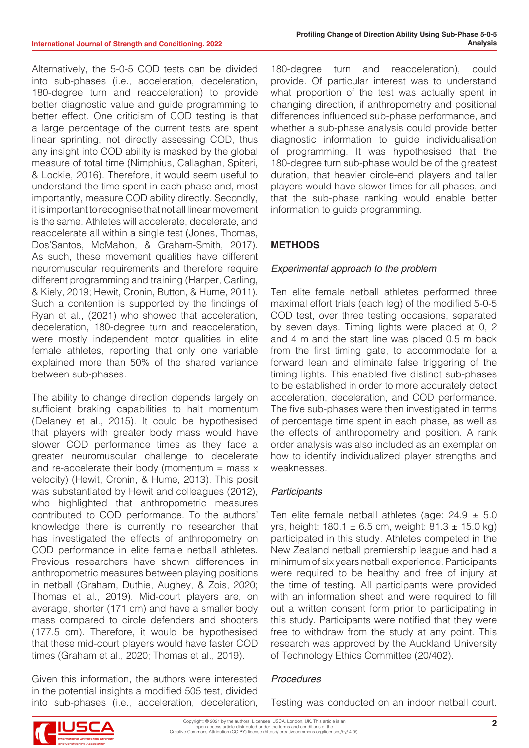Alternatively, the 5-0-5 COD tests can be divided into sub-phases (i.e., acceleration, deceleration, 180-degree turn and reacceleration) to provide better diagnostic value and guide programming to better effect. One criticism of COD testing is that a large percentage of the current tests are spent linear sprinting, not directly assessing COD, thus any insight into COD ability is masked by the global measure of total time (Nimphius, Callaghan, Spiteri, & Lockie, 2016). Therefore, it would seem useful to understand the time spent in each phase and, most importantly, measure COD ability directly. Secondly, it is important to recognise that not all linear movement is the same. Athletes will accelerate, decelerate, and reaccelerate all within a single test (Jones, Thomas, Dos'Santos, McMahon, & Graham-Smith, 2017). As such, these movement qualities have different neuromuscular requirements and therefore require different programming and training (Harper, Carling, & Kiely, 2019; Hewit, Cronin, Button, & Hume, 2011). Such a contention is supported by the findings of Ryan et al., (2021) who showed that acceleration, deceleration, 180-degree turn and reacceleration, were mostly independent motor qualities in elite female athletes, reporting that only one variable explained more than 50% of the shared variance between sub-phases.

The ability to change direction depends largely on sufficient braking capabilities to halt momentum (Delaney et al., 2015). It could be hypothesised that players with greater body mass would have slower COD performance times as they face a greater neuromuscular challenge to decelerate and re-accelerate their body (momentum  $=$  mass  $x$ velocity) (Hewit, Cronin, & Hume, 2013). This posit was substantiated by Hewit and colleagues (2012), who highlighted that anthropometric measures contributed to COD performance. To the authors' knowledge there is currently no researcher that has investigated the effects of anthropometry on COD performance in elite female netball athletes. Previous researchers have shown differences in anthropometric measures between playing positions in netball (Graham, Duthie, Aughey, & Zois, 2020; Thomas et al., 2019). Mid-court players are, on average, shorter (171 cm) and have a smaller body mass compared to circle defenders and shooters (177.5 cm). Therefore, it would be hypothesised that these mid-court players would have faster COD times (Graham et al., 2020; Thomas et al., 2019).

Given this information, the authors were interested in the potential insights a modified 505 test, divided into sub-phases (i.e., acceleration, deceleration,

180-degree turn and reacceleration), could provide. Of particular interest was to understand what proportion of the test was actually spent in changing direction, if anthropometry and positional differences influenced sub-phase performance, and whether a sub-phase analysis could provide better diagnostic information to guide individualisation of programming. It was hypothesised that the 180-degree turn sub-phase would be of the greatest duration, that heavier circle-end players and taller players would have slower times for all phases, and that the sub-phase ranking would enable better information to guide programming.

# **METHODS**

#### *Experimental approach to the problem*

Ten elite female netball athletes performed three maximal effort trials (each leg) of the modified 5-0-5 COD test, over three testing occasions, separated by seven days. Timing lights were placed at 0, 2 and 4 m and the start line was placed 0.5 m back from the first timing gate, to accommodate for a forward lean and eliminate false triggering of the timing lights. This enabled five distinct sub-phases to be established in order to more accurately detect acceleration, deceleration, and COD performance. The five sub-phases were then investigated in terms of percentage time spent in each phase, as well as the effects of anthropometry and position. A rank order analysis was also included as an exemplar on how to identify individualized player strengths and weaknesses.

#### *Participants*

Ten elite female netball athletes (age:  $24.9 \pm 5.0$ yrs, height:  $180.1 \pm 6.5$  cm, weight:  $81.3 \pm 15.0$  kg) participated in this study. Athletes competed in the New Zealand netball premiership league and had a minimum of six years netball experience. Participants were required to be healthy and free of injury at the time of testing. All participants were provided with an information sheet and were required to fill out a written consent form prior to participating in this study. Participants were notified that they were free to withdraw from the study at any point. This research was approved by the Auckland University of Technology Ethics Committee (20/402).

#### *Procedures*

Testing was conducted on an indoor netball court.

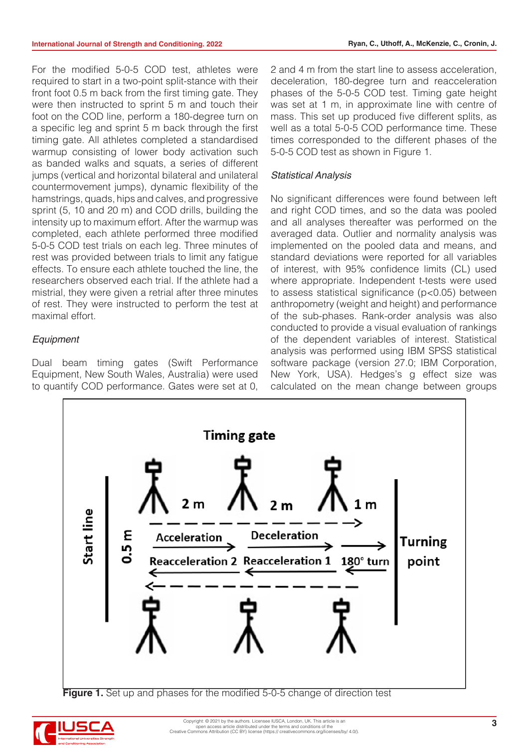For the modified 5-0-5 COD test, athletes were required to start in a two-point split-stance with their front foot 0.5 m back from the first timing gate. They were then instructed to sprint 5 m and touch their foot on the COD line, perform a 180-degree turn on a specific leg and sprint 5 m back through the first timing gate. All athletes completed a standardised warmup consisting of lower body activation such as banded walks and squats, a series of different jumps (vertical and horizontal bilateral and unilateral countermovement jumps), dynamic flexibility of the hamstrings, quads, hips and calves, and progressive sprint (5, 10 and 20 m) and COD drills, building the intensity up to maximum effort. After the warmup was completed, each athlete performed three modified 5-0-5 COD test trials on each leg. Three minutes of rest was provided between trials to limit any fatigue effects. To ensure each athlete touched the line, the researchers observed each trial. If the athlete had a mistrial, they were given a retrial after three minutes of rest. They were instructed to perform the test at maximal effort.

#### *Equipment*

Dual beam timing gates (Swift Performance Equipment, New South Wales, Australia) were used to quantify COD performance. Gates were set at 0,

2 and 4 m from the start line to assess acceleration, deceleration, 180-degree turn and reacceleration phases of the 5-0-5 COD test. Timing gate height was set at 1 m, in approximate line with centre of mass. This set up produced five different splits, as well as a total 5-0-5 COD performance time. These times corresponded to the different phases of the 5-0-5 COD test as shown in Figure 1.

#### *Statistical Analysis*

No significant differences were found between left and right COD times, and so the data was pooled and all analyses thereafter was performed on the averaged data. Outlier and normality analysis was implemented on the pooled data and means, and standard deviations were reported for all variables of interest, with 95% confidence limits (CL) used where appropriate. Independent t-tests were used to assess statistical significance (p<0.05) between anthropometry (weight and height) and performance of the sub-phases. Rank-order analysis was also conducted to provide a visual evaluation of rankings of the dependent variables of interest. Statistical analysis was performed using IBM SPSS statistical software package (version 27.0; IBM Corporation, New York, USA). Hedges's g effect size was calculated on the mean change between groups



**Figure 1.** Set up and phases for the modified 5-0-5 change of direction test

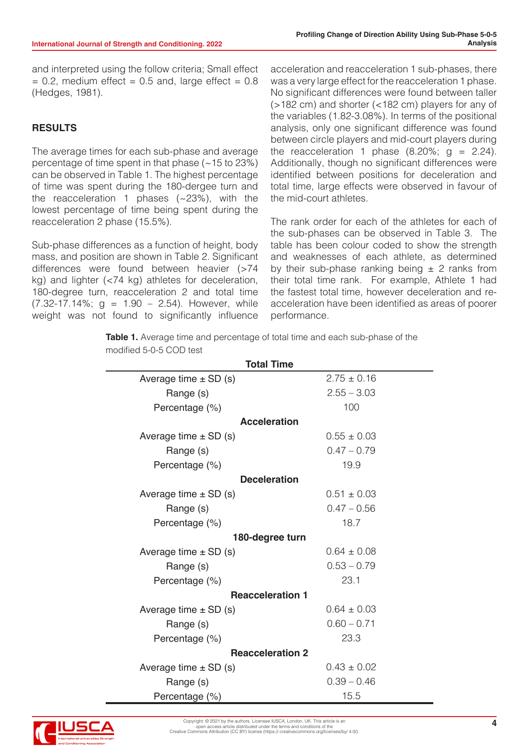and interpreted using the follow criteria; Small effect  $= 0.2$ , medium effect  $= 0.5$  and, large effect  $= 0.8$ (Hedges, 1981).

# **RESULTS**

The average times for each sub-phase and average percentage of time spent in that phase  $(-15$  to 23%) can be observed in Table 1. The highest percentage of time was spent during the 180-dergee turn and the reacceleration 1 phases  $(-23%)$ , with the lowest percentage of time being spent during the reacceleration 2 phase (15.5%).

Sub-phase differences as a function of height, body mass, and position are shown in Table 2. Significant differences were found between heavier (>74 kg) and lighter (<74 kg) athletes for deceleration, 180-degree turn, reacceleration 2 and total time  $(7.32-17.14\%; g = 1.90 - 2.54)$ . However, while weight was not found to significantly influence

acceleration and reacceleration 1 sub-phases, there was a very large effect for the reacceleration 1 phase. No significant differences were found between taller (>182 cm) and shorter (<182 cm) players for any of the variables (1.82-3.08%). In terms of the positional analysis, only one significant difference was found between circle players and mid-court players during the reacceleration 1 phase  $(8.20\%; q = 2.24)$ . Additionally, though no significant differences were identified between positions for deceleration and total time, large effects were observed in favour of the mid-court athletes.

The rank order for each of the athletes for each of the sub-phases can be observed in Table 3. The table has been colour coded to show the strength and weaknesses of each athlete, as determined by their sub-phase ranking being  $\pm$  2 ranks from their total time rank. For example, Athlete 1 had the fastest total time, however deceleration and reacceleration have been identified as areas of poorer performance.

**Table 1.** Average time and percentage of total time and each sub-phase of the modified 5-0-5 COD test

| <b>Total Time</b>         |                 |  |  |  |  |  |  |
|---------------------------|-----------------|--|--|--|--|--|--|
| Average time $\pm$ SD (s) | $2.75 \pm 0.16$ |  |  |  |  |  |  |
| Range (s)                 | $2.55 - 3.03$   |  |  |  |  |  |  |
| Percentage (%)            | 100             |  |  |  |  |  |  |
| <b>Acceleration</b>       |                 |  |  |  |  |  |  |
| Average time $\pm$ SD (s) | $0.55 \pm 0.03$ |  |  |  |  |  |  |
| Range (s)                 | $0.47 - 0.79$   |  |  |  |  |  |  |
| Percentage (%)            | 19.9            |  |  |  |  |  |  |
| <b>Deceleration</b>       |                 |  |  |  |  |  |  |
| Average time $\pm$ SD (s) | $0.51 \pm 0.03$ |  |  |  |  |  |  |
| Range (s)                 | $0.47 - 0.56$   |  |  |  |  |  |  |
| Percentage (%)            | 18.7            |  |  |  |  |  |  |
| 180-degree turn           |                 |  |  |  |  |  |  |
| Average time $\pm$ SD (s) | $0.64 \pm 0.08$ |  |  |  |  |  |  |
| Range (s)                 | $0.53 - 0.79$   |  |  |  |  |  |  |
| Percentage (%)            | 23.1            |  |  |  |  |  |  |
| <b>Reacceleration 1</b>   |                 |  |  |  |  |  |  |
| Average time $\pm$ SD (s) | $0.64 \pm 0.03$ |  |  |  |  |  |  |
| Range (s)                 | $0.60 - 0.71$   |  |  |  |  |  |  |
| Percentage (%)            | 23.3            |  |  |  |  |  |  |
| <b>Reacceleration 2</b>   |                 |  |  |  |  |  |  |
| Average time $\pm$ SD (s) | $0.43 \pm 0.02$ |  |  |  |  |  |  |
| Range (s)                 | $0.39 - 0.46$   |  |  |  |  |  |  |
| Percentage (%)            | 15.5            |  |  |  |  |  |  |

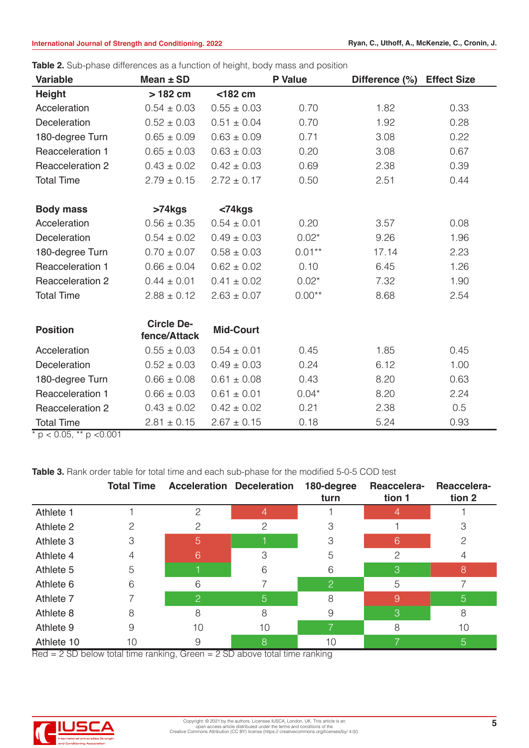| <b>Variable</b>   | Mean $\pm$ SD                     |                  | and priced allierence as a rancher of neight, bear mass and position<br><b>P</b> Value | Difference (%) | <b>Effect Size</b> |
|-------------------|-----------------------------------|------------------|----------------------------------------------------------------------------------------|----------------|--------------------|
| <b>Height</b>     | > 182 cm                          | $<$ 182 cm       |                                                                                        |                |                    |
| Acceleration      | $0.54 \pm 0.03$                   | $0.55 \pm 0.03$  | 0.70                                                                                   | 1.82           | 0.33               |
| Deceleration      | $0.52 \pm 0.03$                   | $0.51 \pm 0.04$  | 0.70                                                                                   | 1.92           | 0.28               |
| 180-degree Turn   | $0.65 \pm 0.09$                   | $0.63 \pm 0.09$  | 0.71                                                                                   | 3.08           | 0.22               |
| Reacceleration 1  | $0.65 \pm 0.03$                   | $0.63 \pm 0.03$  | 0.20                                                                                   | 3.08           | 0.67               |
| Reacceleration 2  | $0.43 \pm 0.02$                   | $0.42 \pm 0.03$  | 0.69                                                                                   | 2.38           | 0.39               |
| <b>Total Time</b> | $2.79 \pm 0.15$                   | $2.72 \pm 0.17$  | 0.50                                                                                   | 2.51           | 0.44               |
|                   |                                   |                  |                                                                                        |                |                    |
| <b>Body mass</b>  | $>74$ kgs                         | $<$ 74 $kg$ s    |                                                                                        |                |                    |
| Acceleration      | $0.56 \pm 0.35$                   | $0.54 \pm 0.01$  | 0.20                                                                                   | 3.57           | 0.08               |
| Deceleration      | $0.54 \pm 0.02$                   | $0.49 \pm 0.03$  | $0.02*$                                                                                | 9.26           | 1.96               |
| 180-degree Turn   | $0.70 \pm 0.07$                   | $0.58 \pm 0.03$  | $0.01**$                                                                               | 17.14          | 2.23               |
| Reacceleration 1  | $0.66 \pm 0.04$                   | $0.62 \pm 0.02$  | 0.10                                                                                   | 6.45           | 1.26               |
| Reacceleration 2  | $0.44 \pm 0.01$                   | $0.41 \pm 0.02$  | $0.02*$                                                                                | 7.32           | 1.90               |
| <b>Total Time</b> | $2.88 \pm 0.12$                   | $2.63 \pm 0.07$  | $0.00**$                                                                               | 8.68           | 2.54               |
|                   |                                   |                  |                                                                                        |                |                    |
| <b>Position</b>   | <b>Circle De-</b><br>fence/Attack | <b>Mid-Court</b> |                                                                                        |                |                    |
| Acceleration      | $0.55 \pm 0.03$                   | $0.54 \pm 0.01$  | 0.45                                                                                   | 1.85           | 0.45               |
| Deceleration      | $0.52 \pm 0.03$                   | $0.49 \pm 0.03$  | 0.24                                                                                   | 6.12           | 1.00               |
| 180-degree Turn   | $0.66 \pm 0.08$                   | $0.61 \pm 0.08$  | 0.43                                                                                   | 8.20           | 0.63               |
| Reacceleration 1  | $0.66 \pm 0.03$                   | $0.61 \pm 0.01$  | $0.04*$                                                                                | 8.20           | 2.24               |
| Reacceleration 2  | $0.43 \pm 0.02$                   | $0.42 \pm 0.02$  | 0.21                                                                                   | 2.38           | 0.5                |
| <b>Total Time</b> | $2.81 \pm 0.15$                   | $2.67 \pm 0.15$  | 0.18                                                                                   | 5.24           | 0.93               |

**Table 2.** Sub-phase differences as a function of height, body mass and position

 $\frac{100 \text{ m}}{x}$  p < 0.05, \*\* p < 0.001

Table 3. Rank order table for total time and each sub-phase for the modified 5-0-5 COD test

|            | <b>Total Time</b> |                | <b>Acceleration Deceleration</b> | 180-degree<br>turn | Reaccelera-<br>tion 1 | Reaccelera-<br>tion 2 |
|------------|-------------------|----------------|----------------------------------|--------------------|-----------------------|-----------------------|
| Athlete 1  |                   | $\overline{2}$ |                                  |                    | 4                     |                       |
| Athlete 2  |                   | 2              | ≘                                |                    |                       |                       |
| Athlete 3  | 3                 | 5              |                                  | 3                  | 6                     |                       |
| Athlete 4  |                   | 6              | З                                | 5                  | 2                     |                       |
| Athlete 5  | 5                 |                | 6                                | 6                  | 3                     | 8                     |
| Athlete 6  | 6                 | 6              |                                  | 2                  | 5                     |                       |
| Athlete 7  |                   | 2              | 5                                | 8                  | 9                     | 5                     |
| Athlete 8  | 8                 | 8              | 8                                | 9                  | 3                     | 8                     |
| Athlete 9  | 9                 | 10             | 10                               |                    | 8                     | 10                    |
| Athlete 10 | 10                | 9              | 8                                | 10                 |                       | 5                     |

Red = 2 SD below total time ranking, Green = 2 SD above total time ranking

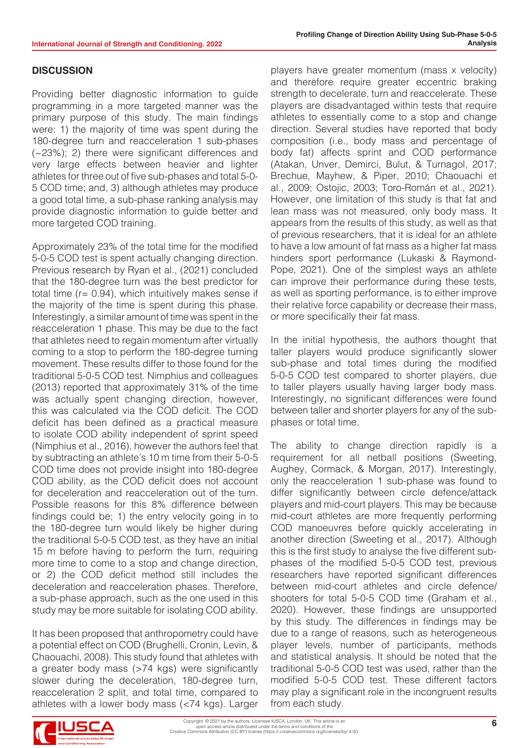#### **DISCUSSION**

Providing better diagnostic information to guide programming in a more targeted manner was the primary purpose of this study. The main findings were: 1) the majority of time was spent during the 180-degree turn and reacceleration 1 sub-phases (~23%); 2) there were significant differences and very large effects between heavier and lighter athletes for three out of five sub-phases and total 5-0- 5 COD time; and, 3) although athletes may produce a good total time, a sub-phase ranking analysis may provide diagnostic information to guide better and more targeted COD training.

Approximately 23% of the total time for the modified 5-0-5 COD test is spent actually changing direction. Previous research by Ryan et al., (2021) concluded that the 180-degree turn was the best predictor for total time (r= 0.94), which intuitively makes sense if the majority of the time is spent during this phase. Interestingly, a similar amount of time was spent in the reacceleration 1 phase. This may be due to the fact that athletes need to regain momentum after virtually coming to a stop to perform the 180-degree turning movement. These results differ to those found for the traditional 5-0-5 COD test. Nimphius and colleagues (2013) reported that approximately 31% of the time was actually spent changing direction, however, this was calculated via the COD deficit. The COD deficit has been defined as a practical measure to isolate COD ability independent of sprint speed (Nimphius et al., 2016), however the authors feel that by subtracting an athlete's 10 m time from their 5-0-5 COD time does not provide insight into 180-degree COD ability, as the COD deficit does not account for deceleration and reacceleration out of the turn. Possible reasons for this 8% difference between findings could be; 1) the entry velocity going in to the 180-degree turn would likely be higher during the traditional 5-0-5 COD test, as they have an initial 15 m before having to perform the turn, requiring more time to come to a stop and change direction, or 2) the COD deficit method still includes the deceleration and reacceleration phases. Therefore, a sub-phase approach, such as the one used in this study may be more suitable for isolating COD ability.

It has been proposed that anthropometry could have a potential effect on COD (Brughelli, Cronin, Levin, & Chaouachi, 2008). This study found that athletes with a greater body mass (>74 kgs) were significantly slower during the deceleration, 180-degree turn, reacceleration 2 split, and total time, compared to athletes with a lower body mass (<74 kgs). Larger players have greater momentum (mass x velocity) and therefore require greater eccentric braking strength to decelerate, turn and reaccelerate. These players are disadvantaged within tests that require athletes to essentially come to a stop and change direction. Several studies have reported that body composition (i.e., body mass and percentage of body fat) affects sprint and COD performance (Atakan, Unver, Demirci, Bulut, & Turnagol, 2017; Brechue, Mayhew, & Piper, 2010; Chaouachi et al., 2009; Ostojic, 2003; Toro-Román et al., 2021). However, one limitation of this study is that fat and lean mass was not measured, only body mass. It appears from the results of this study, as well as that of previous researchers, that it is ideal for an athlete to have a low amount of fat mass as a higher fat mass hinders sport performance (Lukaski & Raymond-Pope, 2021). One of the simplest ways an athlete can improve their performance during these tests, as well as sporting performance, is to either improve their relative force capability or decrease their mass, or more specifically their fat mass.

In the initial hypothesis, the authors thought that taller players would produce significantly slower sub-phase and total times during the modified 5-0-5 COD test compared to shorter players, due to taller players usually having larger body mass. Interestingly, no significant differences were found between taller and shorter players for any of the subphases or total time.

The ability to change direction rapidly is a requirement for all netball positions (Sweeting, Aughey, Cormack, & Morgan, 2017). Interestingly, only the reacceleration 1 sub-phase was found to differ significantly between circle defence/attack players and mid-court players. This may be because mid-court athletes are more frequently performing COD manoeuvres before quickly accelerating in another direction (Sweeting et al., 2017). Although this is the first study to analyse the five different subphases of the modified 5-0-5 COD test, previous researchers have reported significant differences between mid-court athletes and circle defence/ shooters for total 5-0-5 COD time (Graham et al., 2020). However, these findings are unsupported by this study. The differences in findings may be due to a range of reasons, such as heterogeneous player levels, number of participants, methods and statistical analysis. It should be noted that the traditional 5-0-5 COD test was used, rather than the modified 5-0-5 COD test. These different factors may play a significant role in the incongruent results from each study.

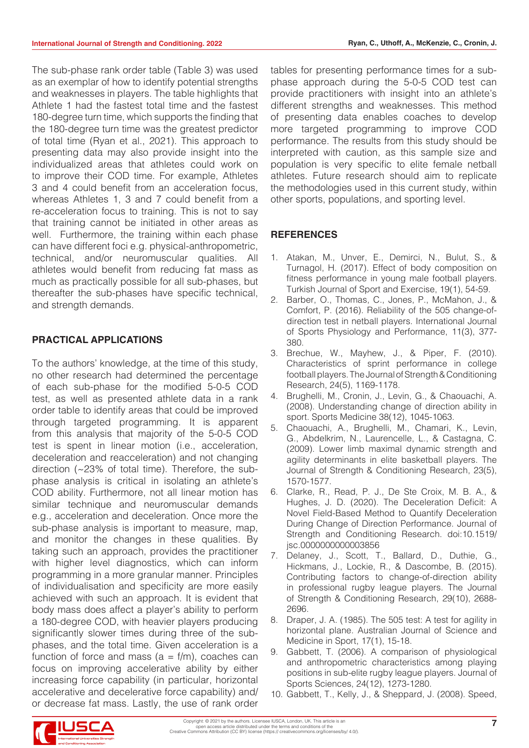The sub-phase rank order table (Table 3) was used as an exemplar of how to identify potential strengths and weaknesses in players. The table highlights that Athlete 1 had the fastest total time and the fastest 180-degree turn time, which supports the finding that the 180-degree turn time was the greatest predictor of total time (Ryan et al., 2021). This approach to presenting data may also provide insight into the individualized areas that athletes could work on to improve their COD time. For example, Athletes 3 and 4 could benefit from an acceleration focus, whereas Athletes 1, 3 and 7 could benefit from a re-acceleration focus to training. This is not to say that training cannot be initiated in other areas as well. Furthermore, the training within each phase can have different foci e.g. physical-anthropometric, technical, and/or neuromuscular qualities. All athletes would benefit from reducing fat mass as much as practically possible for all sub-phases, but thereafter the sub-phases have specific technical, and strength demands.

# **PRACTICAL APPLICATIONS**

To the authors' knowledge, at the time of this study, no other research had determined the percentage of each sub-phase for the modified 5-0-5 COD test, as well as presented athlete data in a rank order table to identify areas that could be improved through targeted programming. It is apparent from this analysis that majority of the 5-0-5 COD test is spent in linear motion (i.e., acceleration, deceleration and reacceleration) and not changing direction (~23% of total time). Therefore, the subphase analysis is critical in isolating an athlete's COD ability. Furthermore, not all linear motion has similar technique and neuromuscular demands e.g., acceleration and deceleration. Once more the sub-phase analysis is important to measure, map, and monitor the changes in these qualities. By taking such an approach, provides the practitioner with higher level diagnostics, which can inform programming in a more granular manner. Principles of individualisation and specificity are more easily achieved with such an approach. It is evident that body mass does affect a player's ability to perform a 180-degree COD, with heavier players producing significantly slower times during three of the subphases, and the total time. Given acceleration is a function of force and mass  $(a = f/m)$ , coaches can focus on improving accelerative ability by either increasing force capability (in particular, horizontal accelerative and decelerative force capability) and/ or decrease fat mass. Lastly, the use of rank order

tables for presenting performance times for a subphase approach during the 5-0-5 COD test can provide practitioners with insight into an athlete's different strengths and weaknesses. This method of presenting data enables coaches to develop more targeted programming to improve COD performance. The results from this study should be interpreted with caution, as this sample size and population is very specific to elite female netball athletes. Future research should aim to replicate the methodologies used in this current study, within other sports, populations, and sporting level.

# **REFERENCES**

- 1. Atakan, M., Unver, E., Demirci, N., Bulut, S., & Turnagol, H. (2017). Effect of body composition on fitness performance in young male football players. Turkish Journal of Sport and Exercise, 19(1), 54-59.
- 2. Barber, O., Thomas, C., Jones, P., McMahon, J., & Comfort, P. (2016). Reliability of the 505 change-ofdirection test in netball players. International Journal of Sports Physiology and Performance, 11(3), 377- 380.
- 3. Brechue, W., Mayhew, J., & Piper, F. (2010). Characteristics of sprint performance in college football players. The Journal of Strength & Conditioning Research, 24(5), 1169-1178.
- 4. Brughelli, M., Cronin, J., Levin, G., & Chaouachi, A. (2008). Understanding change of direction ability in sport. Sports Medicine 38(12), 1045-1063.
- 5. Chaouachi, A., Brughelli, M., Chamari, K., Levin, G., Abdelkrim, N., Laurencelle, L., & Castagna, C. (2009). Lower limb maximal dynamic strength and agility determinants in elite basketball players. The Journal of Strength & Conditioning Research, 23(5), 1570-1577.
- 6. Clarke, R., Read, P. J., De Ste Croix, M. B. A., & Hughes, J. D. (2020). The Deceleration Deficit: A Novel Field-Based Method to Quantify Deceleration During Change of Direction Performance. Journal of Strength and Conditioning Research. doi:10.1519/ jsc.0000000000003856
- 7. Delaney, J., Scott, T., Ballard, D., Duthie, G., Hickmans, J., Lockie, R., & Dascombe, B. (2015). Contributing factors to change-of-direction ability in professional rugby league players. The Journal of Strength & Conditioning Research, 29(10), 2688- 2696.
- 8. Draper, J. A. (1985). The 505 test: A test for agility in horizontal plane. Australian Journal of Science and Medicine in Sport, 17(1), 15-18.
- 9. Gabbett, T. (2006). A comparison of physiological and anthropometric characteristics among playing positions in sub-elite rugby league players. Journal of Sports Sciences, 24(12), 1273-1280.
- 10. Gabbett, T., Kelly, J., & Sheppard, J. (2008). Speed,